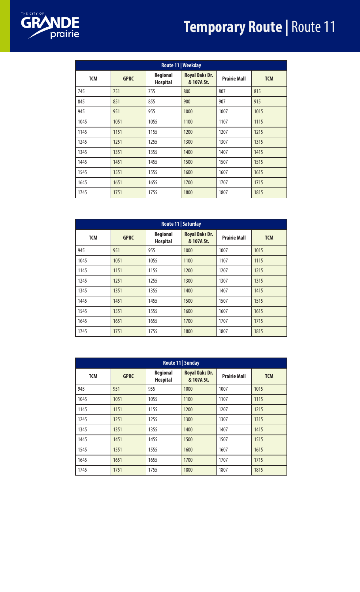## **Temporary Route | Route 11**



| Route 11   Weekday |             |                                    |                                     |                     |            |
|--------------------|-------------|------------------------------------|-------------------------------------|---------------------|------------|
| <b>TCM</b>         | <b>GPRC</b> | <b>Regional</b><br><b>Hospital</b> | <b>Royal Oaks Dr.</b><br>& 107A St. | <b>Prairie Mall</b> | <b>TCM</b> |
| 745                | 751         | 755                                | 800                                 | 807                 | 815        |
| 845                | 851         | 855                                | 900                                 | 907                 | 915        |
| 945                | 951         | 955                                | 1000                                | 1007                | 1015       |
| 1045               | 1051        | 1055                               | 1100                                | 1107                | 1115       |
| 1145               | 1151        | 1155                               | 1200                                | 1207                | 1215       |
| 1245               | 1251        | 1255                               | 1300                                | 1307                | 1315       |
| 1345               | 1351        | 1355                               | 1400                                | 1407                | 1415       |
| 1445               | 1451        | 1455                               | 1500                                | 1507                | 1515       |
| 1545               | 1551        | 1555                               | 1600                                | 1607                | 1615       |
| 1645               | 1651        | 1655                               | 1700                                | 1707                | 1715       |
| 1745               | 1751        | 1755                               | 1800                                | 1807                | 1815       |

| Route 11   Saturday |             |                                    |                                     |                     |            |
|---------------------|-------------|------------------------------------|-------------------------------------|---------------------|------------|
| <b>TCM</b>          | <b>GPRC</b> | <b>Regional</b><br><b>Hospital</b> | <b>Royal Oaks Dr.</b><br>& 107A St. | <b>Prairie Mall</b> | <b>TCM</b> |
| 945                 | 951         | 955                                | 1000                                | 1007                | 1015       |
| 1045                | 1051        | 1055                               | 1100                                | 1107                | 1115       |
| 1145                | 1151        | 1155                               | 1200                                | 1207                | 1215       |
| 1245                | 1251        | 1255                               | 1300                                | 1307                | 1315       |
| 1345                | 1351        | 1355                               | 1400                                | 1407                | 1415       |
| 1445                | 1451        | 1455                               | 1500                                | 1507                | 1515       |
| 1545                | 1551        | 1555                               | 1600                                | 1607                | 1615       |
| 1645                | 1651        | 1655                               | 1700                                | 1707                | 1715       |
| 1745                | 1751        | 1755                               | 1800                                | 1807                | 1815       |

| Route 11   Sunday |             |                             |                                     |                     |            |
|-------------------|-------------|-----------------------------|-------------------------------------|---------------------|------------|
| <b>TCM</b>        | <b>GPRC</b> | Regional<br><b>Hospital</b> | <b>Royal Oaks Dr.</b><br>& 107A St. | <b>Prairie Mall</b> | <b>TCM</b> |
| 945               | 951         | 955                         | 1000                                | 1007                | 1015       |
| 1045              | 1051        | 1055                        | 1100                                | 1107                | 1115       |
| 1145              | 1151        | 1155                        | 1200                                | 1207                | 1215       |
| 1245              | 1251        | 1255                        | 1300                                | 1307                | 1315       |
| 1345              | 1351        | 1355                        | 1400                                | 1407                | 1415       |
| 1445              | 1451        | 1455                        | 1500                                | 1507                | 1515       |
| 1545              | 1551        | 1555                        | 1600                                | 1607                | 1615       |
| 1645              | 1651        | 1655                        | 1700                                | 1707                | 1715       |
| 1745              | 1751        | 1755                        | 1800                                | 1807                | 1815       |